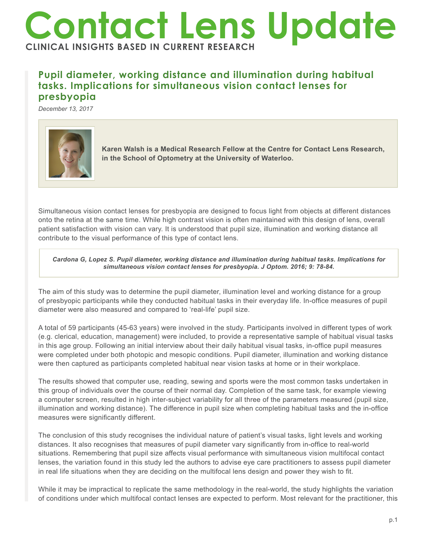## **Contact Lens Update CLINICAL INSIGHTS BASED IN CURRENT RESEARCH**

## **Pupil diameter, working distance and illumination during habitual tasks. Implications for simultaneous vision contact lenses for presbyopia**

*December 13, 2017*



**Karen Walsh is a Medical Research Fellow at the Centre for Contact Lens Research, in the School of Optometry at the University of Waterloo.**

Simultaneous vision contact lenses for presbyopia are designed to focus light from objects at different distances onto the retina at the same time. While high contrast vision is often maintained with this design of lens, overall patient satisfaction with vision can vary. It is understood that pupil size, illumination and working distance all contribute to the visual performance of this type of contact lens.

*Cardona G, Lopez S. Pupil diameter, working distance and illumination during habitual tasks. Implications for simultaneous vision contact lenses for presbyopia. J Optom. 2016; 9: 78-84.*

The aim of this study was to determine the pupil diameter, illumination level and working distance for a group of presbyopic participants while they conducted habitual tasks in their everyday life. In-office measures of pupil diameter were also measured and compared to 'real-life' pupil size.

A total of 59 participants (45-63 years) were involved in the study. Participants involved in different types of work (e.g. clerical, education, management) were included, to provide a representative sample of habitual visual tasks in this age group. Following an initial interview about their daily habitual visual tasks, in-office pupil measures were completed under both photopic and mesopic conditions. Pupil diameter, illumination and working distance were then captured as participants completed habitual near vision tasks at home or in their workplace.

The results showed that computer use, reading, sewing and sports were the most common tasks undertaken in this group of individuals over the course of their normal day. Completion of the same task, for example viewing a computer screen, resulted in high inter-subject variability for all three of the parameters measured (pupil size, illumination and working distance). The difference in pupil size when completing habitual tasks and the in-office measures were significantly different.

The conclusion of this study recognises the individual nature of patient's visual tasks, light levels and working distances. It also recognises that measures of pupil diameter vary significantly from in-office to real-world situations. Remembering that pupil size affects visual performance with simultaneous vision multifocal contact lenses, the variation found in this study led the authors to advise eye care practitioners to assess pupil diameter in real life situations when they are deciding on the multifocal lens design and power they wish to fit.

While it may be impractical to replicate the same methodology in the real-world, the study highlights the variation of conditions under which multifocal contact lenses are expected to perform. Most relevant for the practitioner, this